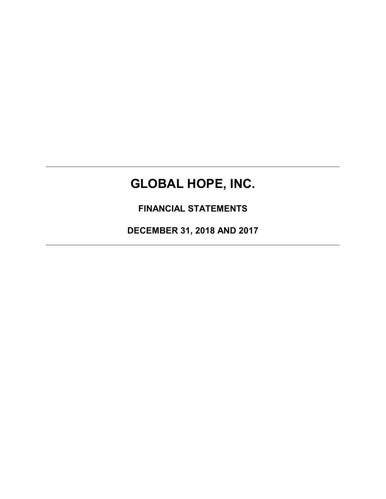# **GLOBAL HOPE, INC.**

**FINANCIAL STATEMENTS**

**DECEMBER 31, 2018 AND 2017**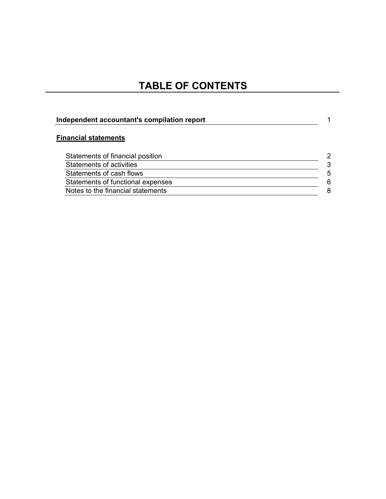## **TABLE OF CONTENTS**

| Independent accountant's compilation report |               |  |
|---------------------------------------------|---------------|--|
| <b>Financial statements</b>                 |               |  |
| Statements of financial position            | $\mathcal{P}$ |  |
| Statements of activities                    | 3             |  |
| Statements of cash flows                    | 5             |  |
| Statements of functional expenses           | 6             |  |
| Notes to the financial statements           | 8             |  |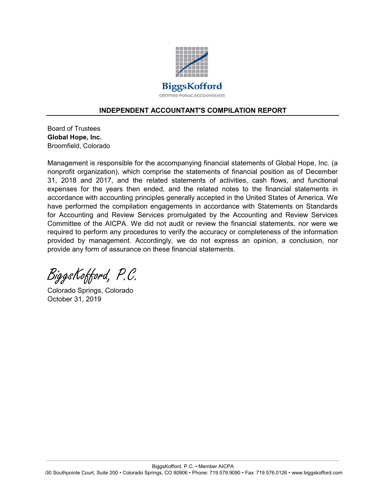

#### **INDEPENDENT ACCOUNTANT'S COMPILATION REPORT**

Board of Trustees **Global Hope, Inc.** Broomfield, Colorado

Management is responsible for the accompanying financial statements of Global Hope, Inc. (a nonprofit organization), which comprise the statements of financial position as of December 31, 2018 and 2017, and the related statements of activities, cash flows, and functional expenses for the years then ended, and the related notes to the financial statements in accordance with accounting principles generally accepted in the United States of America. We have performed the compilation engagements in accordance with Statements on Standards for Accounting and Review Services promulgated by the Accounting and Review Services Committee of the AICPA. We did not audit or review the financial statements, nor were we required to perform any procedures to verify the accuracy or completeness of the information provided by management. Accordingly, we do not express an opinion, a conclusion, nor provide any form of assurance on these financial statements.

BiggsKofford, P.C.

Colorado Springs, Colorado October 31, 2019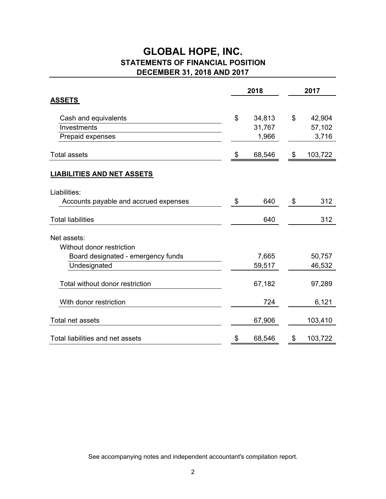### **GLOBAL HOPE, INC. STATEMENTS OF FINANCIAL POSITION DECEMBER 31, 2018 AND 2017**

|                                       | 2018 |        | 2017          |
|---------------------------------------|------|--------|---------------|
| <b>ASSETS</b>                         |      |        |               |
| Cash and equivalents                  | \$   | 34,813 | \$<br>42,904  |
| Investments                           |      | 31,767 | 57,102        |
| Prepaid expenses                      |      | 1,966  | 3,716         |
| <b>Total assets</b>                   | \$   | 68,546 | \$<br>103,722 |
| <b>LIABILITIES AND NET ASSETS</b>     |      |        |               |
| Liabilities:                          |      |        |               |
| Accounts payable and accrued expenses | \$   | 640    | \$<br>312     |
| <b>Total liabilities</b>              |      | 640    | 312           |
| Net assets:                           |      |        |               |
| Without donor restriction             |      |        |               |
| Board designated - emergency funds    |      | 7,665  | 50,757        |
| Undesignated                          |      | 59,517 | 46,532        |
| Total without donor restriction       |      | 67,182 | 97,289        |
| With donor restriction                |      | 724    | 6,121         |
| <b>Total net assets</b>               |      | 67,906 | 103,410       |
| Total liabilities and net assets      | \$   | 68,546 | \$<br>103,722 |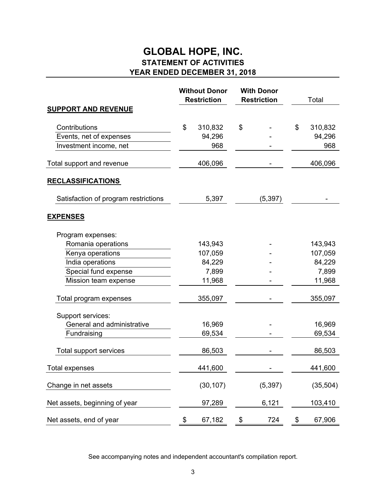### **GLOBAL HOPE, INC. STATEMENT OF ACTIVITIES YEAR ENDED DECEMBER 31, 2018**

|                                      |    | <b>Without Donor</b><br><b>Restriction</b> | <b>With Donor</b><br><b>Restriction</b> | Total         |
|--------------------------------------|----|--------------------------------------------|-----------------------------------------|---------------|
| <b>SUPPORT AND REVENUE</b>           |    |                                            |                                         |               |
| Contributions                        | \$ | 310,832                                    | \$                                      | \$<br>310,832 |
| Events, net of expenses              |    | 94,296                                     |                                         | 94,296        |
| Investment income, net               |    | 968                                        |                                         | 968           |
| Total support and revenue            |    | 406,096                                    |                                         | 406,096       |
| <b>RECLASSIFICATIONS</b>             |    |                                            |                                         |               |
| Satisfaction of program restrictions |    | 5,397                                      | (5, 397)                                |               |
| <b>EXPENSES</b>                      |    |                                            |                                         |               |
| Program expenses:                    |    |                                            |                                         |               |
| Romania operations                   |    | 143,943                                    |                                         | 143,943       |
| Kenya operations                     |    | 107,059                                    |                                         | 107,059       |
| India operations                     |    | 84,229                                     |                                         | 84,229        |
| Special fund expense                 |    | 7,899                                      |                                         | 7,899         |
| Mission team expense                 |    | 11,968                                     |                                         | 11,968        |
| Total program expenses               |    | 355,097                                    |                                         | 355,097       |
| Support services:                    |    |                                            |                                         |               |
| General and administrative           |    | 16,969                                     |                                         | 16,969        |
| Fundraising                          |    | 69,534                                     |                                         | 69,534        |
| Total support services               |    | 86,503                                     |                                         | 86,503        |
| <b>Total expenses</b>                |    | 441,600                                    |                                         | 441,600       |
| Change in net assets                 |    | (30, 107)                                  | (5, 397)                                | (35, 504)     |
| Net assets, beginning of year        |    | 97,289                                     | 6,121                                   | 103,410       |
| Net assets, end of year              | \$ | 67,182                                     | \$<br>724                               | \$<br>67,906  |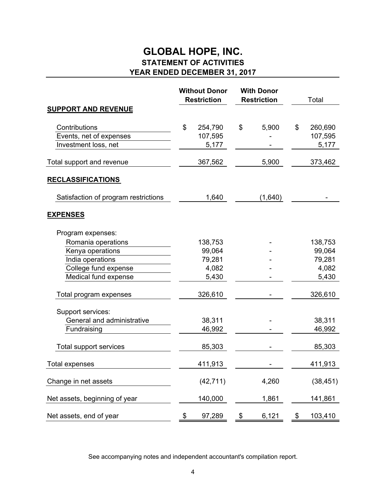### **GLOBAL HOPE, INC. STATEMENT OF ACTIVITIES YEAR ENDED DECEMBER 31, 2017**

|                                                                  |    | <b>Without Donor</b><br><b>Restriction</b> | <b>With Donor</b><br><b>Restriction</b> | Total                             |
|------------------------------------------------------------------|----|--------------------------------------------|-----------------------------------------|-----------------------------------|
| <b>SUPPORT AND REVENUE</b>                                       |    |                                            |                                         |                                   |
| Contributions<br>Events, net of expenses<br>Investment loss, net | \$ | 254,790<br>107,595<br>5,177                | \$<br>5,900                             | \$<br>260,690<br>107,595<br>5,177 |
| Total support and revenue                                        |    | 367,562                                    | 5,900                                   | 373,462                           |
| <u>RECLASSIFICATIONS</u>                                         |    |                                            |                                         |                                   |
| Satisfaction of program restrictions                             |    | 1,640                                      | (1,640)                                 |                                   |
| <b>EXPENSES</b>                                                  |    |                                            |                                         |                                   |
| Program expenses:<br>Romania operations                          |    | 138,753                                    |                                         | 138,753                           |
| Kenya operations<br>India operations<br>College fund expense     |    | 99,064<br>79,281<br>4,082                  |                                         | 99,064<br>79,281<br>4,082         |
| Medical fund expense                                             |    | 5,430                                      |                                         | 5,430                             |
| Total program expenses                                           |    | 326,610                                    |                                         | 326,610                           |
| Support services:<br>General and administrative<br>Fundraising   |    | 38,311<br>46,992                           |                                         | 38,311<br>46,992                  |
| Total support services                                           |    | 85,303                                     |                                         | 85,303                            |
| <b>Total expenses</b>                                            |    | 411,913                                    |                                         | 411,913                           |
| Change in net assets                                             |    | (42, 711)                                  | 4,260                                   | (38, 451)                         |
| Net assets, beginning of year                                    |    | 140,000                                    | 1,861                                   | 141,861                           |
| Net assets, end of year                                          | \$ | 97,289                                     | \$<br>6,121                             | \$<br>103,410                     |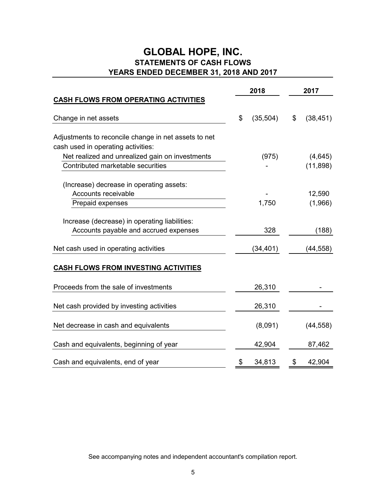### **STATEMENTS OF CASH FLOWS GLOBAL HOPE, INC. YEARS ENDED DECEMBER 31, 2018 AND 2017**

|                                                                                            | 2018            | 2017            |
|--------------------------------------------------------------------------------------------|-----------------|-----------------|
| <b>CASH FLOWS FROM OPERATING ACTIVITIES</b>                                                |                 |                 |
| Change in net assets                                                                       | \$<br>(35, 504) | \$<br>(38, 451) |
| Adjustments to reconcile change in net assets to net<br>cash used in operating activities: |                 |                 |
| Net realized and unrealized gain on investments                                            | (975)           | (4,645)         |
| Contributed marketable securities                                                          |                 | (11, 898)       |
| (Increase) decrease in operating assets:<br>Accounts receivable                            |                 | 12,590          |
| Prepaid expenses                                                                           | 1,750           | (1,966)         |
| Increase (decrease) in operating liabilities:<br>Accounts payable and accrued expenses     | 328             | (188)           |
| Net cash used in operating activities                                                      | (34,401)        | (44, 558)       |
| <b>CASH FLOWS FROM INVESTING ACTIVITIES</b>                                                |                 |                 |
| Proceeds from the sale of investments                                                      | 26,310          |                 |
| Net cash provided by investing activities                                                  | 26,310          |                 |
| Net decrease in cash and equivalents                                                       | (8,091)         | (44, 558)       |
| Cash and equivalents, beginning of year                                                    | 42,904          | 87,462          |
| Cash and equivalents, end of year                                                          | \$<br>34,813    | \$<br>42,904    |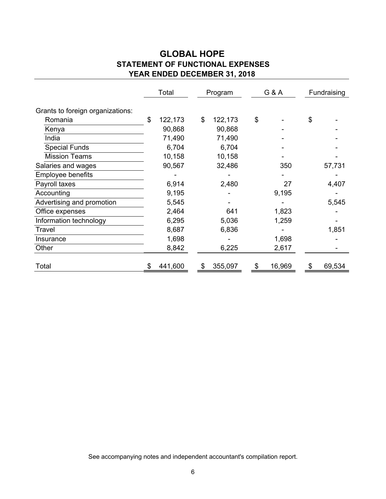### **GLOBAL HOPE STATEMENT OF FUNCTIONAL EXPENSES YEAR ENDED DECEMBER 31, 2018**

|                                  | Total         | Program       |    | G & A  | Fundraising |        |
|----------------------------------|---------------|---------------|----|--------|-------------|--------|
| Grants to foreign organizations: |               |               |    |        |             |        |
| Romania                          | \$<br>122,173 | \$<br>122,173 | \$ |        | \$          |        |
| Kenya                            | 90,868        | 90,868        |    |        |             |        |
| India                            | 71,490        | 71,490        |    |        |             |        |
| <b>Special Funds</b>             | 6,704         | 6,704         |    |        |             |        |
| <b>Mission Teams</b>             | 10,158        | 10,158        |    |        |             |        |
| Salaries and wages               | 90,567        | 32,486        |    | 350    |             | 57,731 |
| <b>Employee benefits</b>         |               |               |    |        |             |        |
| Payroll taxes                    | 6,914         | 2,480         |    | 27     |             | 4,407  |
| Accounting                       | 9,195         |               |    | 9,195  |             |        |
| Advertising and promotion        | 5,545         |               |    |        |             | 5,545  |
| Office expenses                  | 2,464         | 641           |    | 1,823  |             |        |
| Information technology           | 6,295         | 5,036         |    | 1,259  |             |        |
| Travel                           | 8,687         | 6,836         |    |        |             | 1,851  |
| Insurance                        | 1,698         |               |    | 1,698  |             |        |
| Other                            | 8,842         | 6,225         |    | 2,617  |             |        |
| Total                            | 441,600       | \$<br>355,097 | S  | 16,969 |             | 69,534 |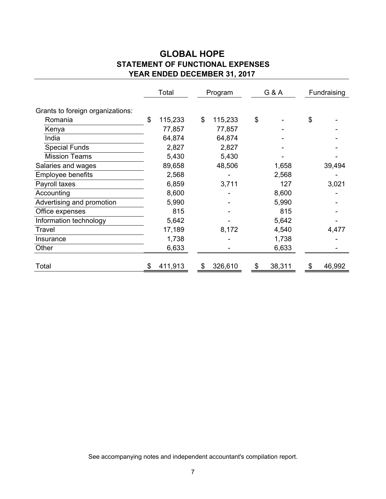### **GLOBAL HOPE STATEMENT OF FUNCTIONAL EXPENSES YEAR ENDED DECEMBER 31, 2017**

|                                  | Total         | Program       |    | G & A  | Fundraising |
|----------------------------------|---------------|---------------|----|--------|-------------|
| Grants to foreign organizations: |               |               |    |        |             |
| Romania                          | \$<br>115,233 | \$<br>115,233 | \$ |        | \$          |
| Kenya                            | 77,857        | 77,857        |    |        |             |
| India                            | 64,874        | 64,874        |    |        |             |
| <b>Special Funds</b>             | 2,827         | 2,827         |    |        |             |
| <b>Mission Teams</b>             | 5,430         | 5,430         |    |        |             |
| Salaries and wages               | 89,658        | 48,506        |    | 1,658  | 39,494      |
| <b>Employee benefits</b>         | 2,568         |               |    | 2,568  |             |
| Payroll taxes                    | 6,859         | 3,711         |    | 127    | 3,021       |
| Accounting                       | 8,600         |               |    | 8,600  |             |
| Advertising and promotion        | 5,990         |               |    | 5,990  |             |
| Office expenses                  | 815           |               |    | 815    |             |
| Information technology           | 5,642         |               |    | 5,642  |             |
| Travel                           | 17,189        | 8,172         |    | 4,540  | 4,477       |
| Insurance                        | 1,738         |               |    | 1,738  |             |
| Other                            | 6,633         |               |    | 6,633  |             |
| Total                            | 411,913       | \$<br>326,610 | \$ | 38,311 | 46,992      |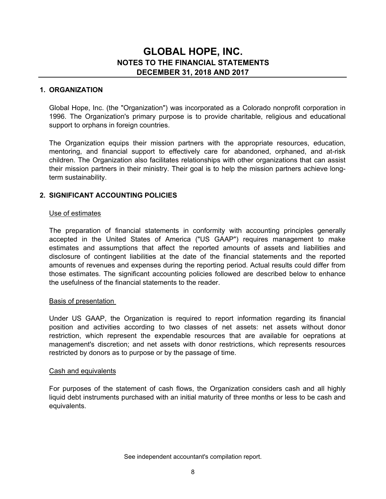#### **1. ORGANIZATION**

Global Hope, Inc. (the "Organization") was incorporated as a Colorado nonprofit corporation in 1996. The Organization's primary purpose is to provide charitable, religious and educational support to orphans in foreign countries.

The Organization equips their mission partners with the appropriate resources, education, mentoring, and financial support to effectively care for abandoned, orphaned, and at-risk children. The Organization also facilitates relationships with other organizations that can assist their mission partners in their ministry. Their goal is to help the mission partners achieve longterm sustainability.

#### **2. SIGNIFICANT ACCOUNTING POLICIES**

#### Use of estimates

The preparation of financial statements in conformity with accounting principles generally accepted in the United States of America ("US GAAP") requires management to make estimates and assumptions that affect the reported amounts of assets and liabilities and disclosure of contingent liabilities at the date of the financial statements and the reported amounts of revenues and expenses during the reporting period. Actual results could differ from those estimates. The significant accounting policies followed are described below to enhance the usefulness of the financial statements to the reader.

#### Basis of presentation

Under US GAAP, the Organization is required to report information regarding its financial position and activities according to two classes of net assets: net assets without donor restriction, which represent the expendable resources that are available for oeprations at management's discretion; and net assets with donor restrictions, which represents resources restricted by donors as to purpose or by the passage of time.

#### Cash and equivalents

For purposes of the statement of cash flows, the Organization considers cash and all highly liquid debt instruments purchased with an initial maturity of three months or less to be cash and equivalents.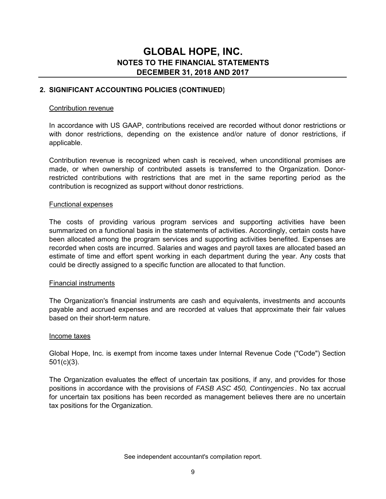#### **2. SIGNIFICANT ACCOUNTING POLICIES (CONTINUED)**

#### Contribution revenue

In accordance with US GAAP, contributions received are recorded without donor restrictions or with donor restrictions, depending on the existence and/or nature of donor restrictions, if applicable.

Contribution revenue is recognized when cash is received, when unconditional promises are made, or when ownership of contributed assets is transferred to the Organization. Donorrestricted contributions with restrictions that are met in the same reporting period as the contribution is recognized as support without donor restrictions.

#### Functional expenses

The costs of providing various program services and supporting activities have been summarized on a functional basis in the statements of activities. Accordingly, certain costs have been allocated among the program services and supporting activities benefited. Expenses are recorded when costs are incurred. Salaries and wages and payroll taxes are allocated based an estimate of time and effort spent working in each department during the year. Any costs that could be directly assigned to a specific function are allocated to that function.

#### Financial instruments

The Organization's financial instruments are cash and equivalents, investments and accounts payable and accrued expenses and are recorded at values that approximate their fair values based on their short-term nature.

#### Income taxes

Global Hope, Inc. is exempt from income taxes under Internal Revenue Code ("Code") Section 501(c)(3).

The Organization evaluates the effect of uncertain tax positions, if any, and provides for those positions in accordance with the provisions of *FASB ASC 450, Contingencies* . No tax accrual for uncertain tax positions has been recorded as management believes there are no uncertain tax positions for the Organization.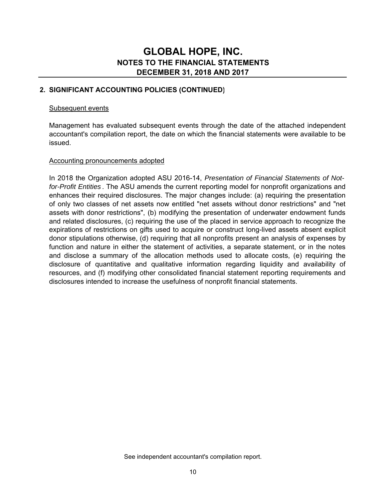#### **2. SIGNIFICANT ACCOUNTING POLICIES (CONTINUED)**

#### Subsequent events

Management has evaluated subsequent events through the date of the attached independent accountant's compilation report, the date on which the financial statements were available to be issued.

#### Accounting pronouncements adopted

In 2018 the Organization adopted ASU 2016-14, *Presentation of Financial Statements of Notfor-Profit Entities* . The ASU amends the current reporting model for nonprofit organizations and enhances their required disclosures. The major changes include: (a) requiring the presentation of only two classes of net assets now entitled "net assets without donor restrictions" and "net assets with donor restrictions", (b) modifying the presentation of underwater endowment funds and related disclosures, (c) requiring the use of the placed in service approach to recognize the expirations of restrictions on gifts used to acquire or construct long-lived assets absent explicit donor stipulations otherwise, (d) requiring that all nonprofits present an analysis of expenses by function and nature in either the statement of activities, a separate statement, or in the notes and disclose a summary of the allocation methods used to allocate costs, (e) requiring the disclosure of quantitative and qualitative information regarding liquidity and availability of resources, and (f) modifying other consolidated financial statement reporting requirements and disclosures intended to increase the usefulness of nonprofit financial statements.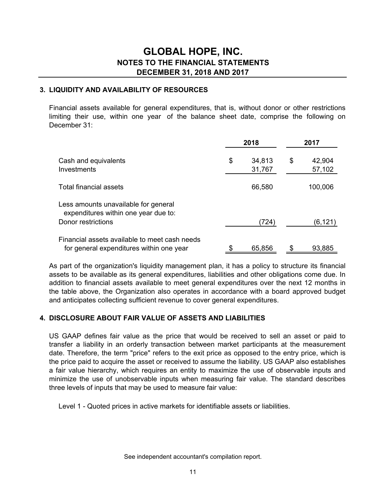#### **3. LIQUIDITY AND AVAILABILITY OF RESOURCES**

Financial assets available for general expenditures, that is, without donor or other restrictions limiting their use, within one year of the balance sheet date, comprise the following on December 31:

|                                                                                           |    | 2018             | 2017 |                  |  |
|-------------------------------------------------------------------------------------------|----|------------------|------|------------------|--|
| Cash and equivalents<br>Investments                                                       | \$ | 34,813<br>31,767 | \$   | 42,904<br>57,102 |  |
| Total financial assets                                                                    |    | 66,580           |      | 100,006          |  |
| Less amounts unavailable for general<br>expenditures within one year due to:              |    |                  |      |                  |  |
| Donor restrictions                                                                        |    | (724)            |      | (6,121)          |  |
| Financial assets available to meet cash needs<br>for general expenditures within one year | \$ | 65,856           | \$   | 93,885           |  |

As part of the organization's liquidity management plan, it has a policy to structure its financial assets to be available as its general expenditures, liabilities and other obligations come due. In addition to financial assets available to meet general expenditures over the next 12 months in the table above, the Organization also operates in accordance with a board approved budget and anticipates collecting sufficient revenue to cover general expenditures.

#### **4. DISCLOSURE ABOUT FAIR VALUE OF ASSETS AND LIABILITIES**

US GAAP defines fair value as the price that would be received to sell an asset or paid to transfer a liability in an orderly transaction between market participants at the measurement date. Therefore, the term "price" refers to the exit price as opposed to the entry price, which is the price paid to acquire the asset or received to assume the liability. US GAAP also establishes a fair value hierarchy, which requires an entity to maximize the use of observable inputs and minimize the use of unobservable inputs when measuring fair value. The standard describes three levels of inputs that may be used to measure fair value:

Level 1 - Quoted prices in active markets for identifiable assets or liabilities.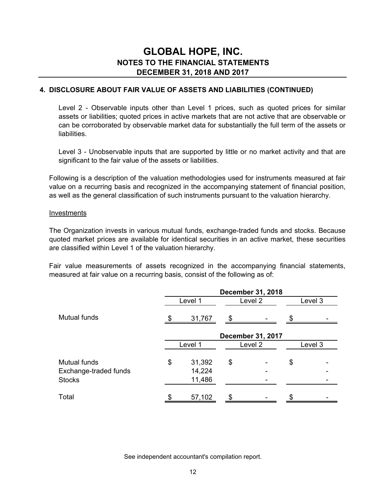#### **4. DISCLOSURE ABOUT FAIR VALUE OF ASSETS AND LIABILITIES (CONTINUED)**

Level 2 - Observable inputs other than Level 1 prices, such as quoted prices for similar assets or liabilities; quoted prices in active markets that are not active that are observable or can be corroborated by observable market data for substantially the full term of the assets or liabilities.

Level 3 - Unobservable inputs that are supported by little or no market activity and that are significant to the fair value of the assets or liabilities.

Following is a description of the valuation methodologies used for instruments measured at fair value on a recurring basis and recognized in the accompanying statement of financial position, as well as the general classification of such instruments pursuant to the valuation hierarchy.

#### Investments

The Organization invests in various mutual funds, exchange-traded funds and stocks. Because quoted market prices are available for identical securities in an active market, these securities are classified within Level 1 of the valuation hierarchy.

Fair value measurements of assets recognized in the accompanying financial statements, measured at fair value on a recurring basis, consist of the following as of:

|                       | <b>December 31, 2018</b> |        |         |                          |    |         |  |  |
|-----------------------|--------------------------|--------|---------|--------------------------|----|---------|--|--|
|                       | Level 1                  |        | Level 2 |                          |    | Level 3 |  |  |
| <b>Mutual funds</b>   |                          | 31,767 | \$      |                          | S  |         |  |  |
|                       |                          |        |         | <b>December 31, 2017</b> |    |         |  |  |
|                       | Level 1                  |        | Level 2 |                          |    | Level 3 |  |  |
| <b>Mutual funds</b>   | \$                       | 31,392 | \$      |                          | \$ |         |  |  |
| Exchange-traded funds |                          | 14,224 |         |                          |    |         |  |  |
| <b>Stocks</b>         |                          | 11,486 |         |                          |    |         |  |  |
| Total                 |                          | 57,102 | œ       |                          | σ  |         |  |  |

See independent accountant's compilation report.